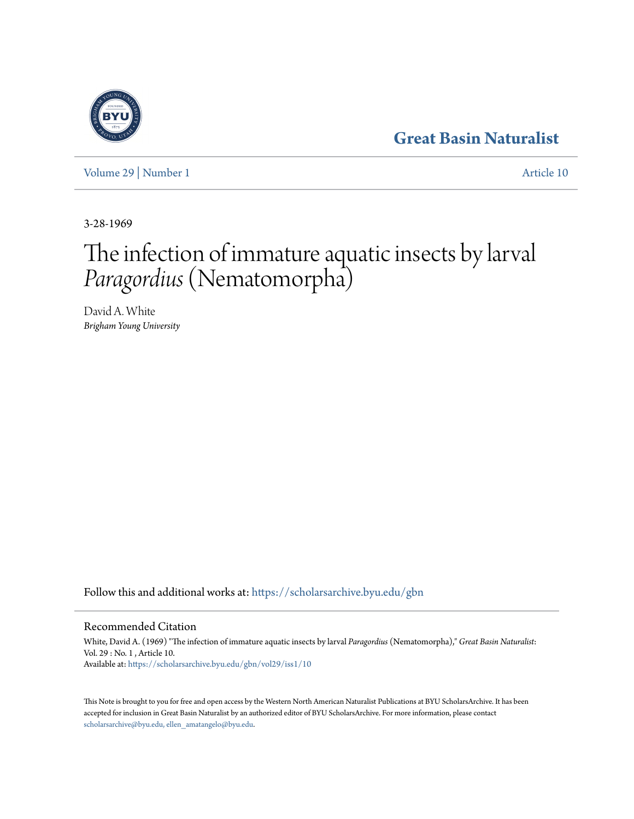# **[Great Basin Naturalist](https://scholarsarchive.byu.edu/gbn?utm_source=scholarsarchive.byu.edu%2Fgbn%2Fvol29%2Fiss1%2F10&utm_medium=PDF&utm_campaign=PDFCoverPages)**

[Volume 29](https://scholarsarchive.byu.edu/gbn/vol29?utm_source=scholarsarchive.byu.edu%2Fgbn%2Fvol29%2Fiss1%2F10&utm_medium=PDF&utm_campaign=PDFCoverPages) | [Number 1](https://scholarsarchive.byu.edu/gbn/vol29/iss1?utm_source=scholarsarchive.byu.edu%2Fgbn%2Fvol29%2Fiss1%2F10&utm_medium=PDF&utm_campaign=PDFCoverPages) [Article 10](https://scholarsarchive.byu.edu/gbn/vol29/iss1/10?utm_source=scholarsarchive.byu.edu%2Fgbn%2Fvol29%2Fiss1%2F10&utm_medium=PDF&utm_campaign=PDFCoverPages)

3-28-1969

# The infection of immature aquatic insects by larval *Paragordius*(Nematomorpha)

David A. White *Brigham Young University*

Follow this and additional works at: [https://scholarsarchive.byu.edu/gbn](https://scholarsarchive.byu.edu/gbn?utm_source=scholarsarchive.byu.edu%2Fgbn%2Fvol29%2Fiss1%2F10&utm_medium=PDF&utm_campaign=PDFCoverPages)

## Recommended Citation

White, David A. (1969) "The infection of immature aquatic insects by larval *Paragordius* (Nematomorpha)," *Great Basin Naturalist*: Vol. 29 : No. 1 , Article 10. Available at: [https://scholarsarchive.byu.edu/gbn/vol29/iss1/10](https://scholarsarchive.byu.edu/gbn/vol29/iss1/10?utm_source=scholarsarchive.byu.edu%2Fgbn%2Fvol29%2Fiss1%2F10&utm_medium=PDF&utm_campaign=PDFCoverPages)

This Note is brought to you for free and open access by the Western North American Naturalist Publications at BYU ScholarsArchive. It has been accepted for inclusion in Great Basin Naturalist by an authorized editor of BYU ScholarsArchive. For more information, please contact [scholarsarchive@byu.edu, ellen\\_amatangelo@byu.edu.](mailto:scholarsarchive@byu.edu,%20ellen_amatangelo@byu.edu)